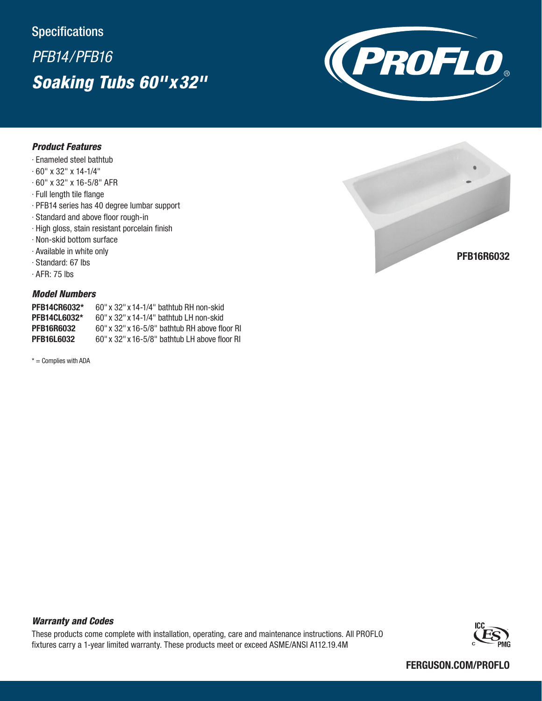## **Specifications**

# *PFB14/PFB16 Soaking Tubs 60''x32''*



#### *Product Features*

- · Enameled steel bathtub
- · 60" x 32" x 14-1/4"
- · 60" x 32" x 16-5/8" AFR
- · Full length tile flange
- · PFB14 series has 40 degree lumbar support
- · Standard and above floor rough-in
- · High gloss, stain resistant porcelain finish
- · Non-skid bottom surface
- · Available in white only
- · Standard: 67 lbs
- · AFR: 75 lbs

### *Model Numbers*

| <b>PFB14CR6032*</b> | $60''$ x 32" x 14-1/4" bathtub RH non-skid       |
|---------------------|--------------------------------------------------|
| <b>PFB14CL6032*</b> | $60''$ x $32''$ x $14-1/4''$ bathtub LH non-skid |
| <b>PFB16R6032</b>   | $60''$ x 32" x 16-5/8" bathtub RH above floor RI |
| <b>PFB16L6032</b>   | $60''$ x 32" x 16-5/8" bathtub LH above floor RI |

 $* =$  Complies with ADA



### *Warranty and Codes*

These products come complete with installation, operating, care and maintenance instructions. All PROFLO fixtures carry a 1-year limited warranty. These products meet or exceed ASME/ANSI A112.19.4M



#### FERGUSON.COM/PROFLO